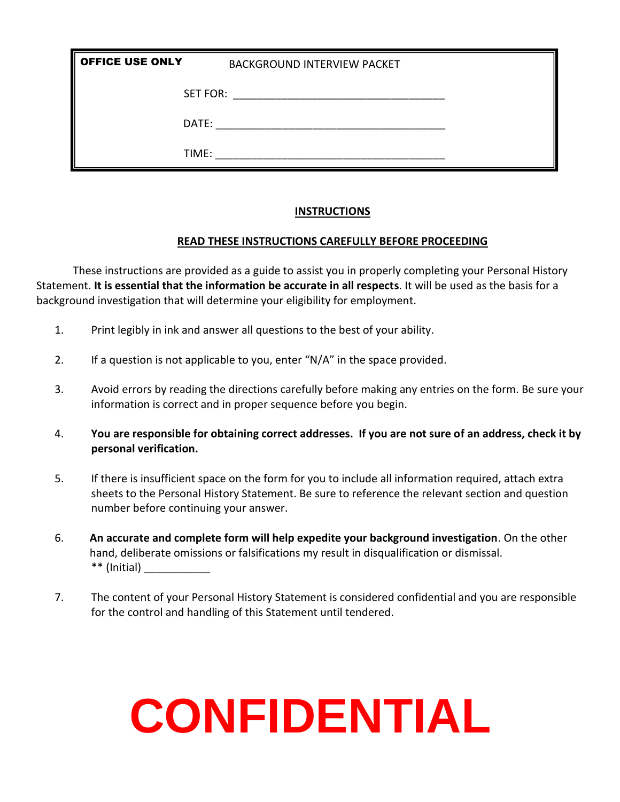| <b>OFFICE USE ONLY</b> | <b>BACKGROUND INTERVIEW PACKET</b> |  |
|------------------------|------------------------------------|--|
| <b>SET FOR:</b>        |                                    |  |
| DATE:                  |                                    |  |
| TIME:                  |                                    |  |

#### **INSTRUCTIONS**

#### **READ THESE INSTRUCTIONS CAREFULLY BEFORE PROCEEDING**

These instructions are provided as a guide to assist you in properly completing your Personal History Statement. **It is essential that the information be accurate in all respects**. It will be used as the basis for a background investigation that will determine your eligibility for employment.

- 1. Print legibly in ink and answer all questions to the best of your ability.
- 2. If a question is not applicable to you, enter "N/A" in the space provided.
- 3. Avoid errors by reading the directions carefully before making any entries on the form. Be sure your information is correct and in proper sequence before you begin.
- 4. **You are responsible for obtaining correct addresses. If you are not sure of an address, check it by personal verification.**
- 5. If there is insufficient space on the form for you to include all information required, attach extra sheets to the Personal History Statement. Be sure to reference the relevant section and question number before continuing your answer.
- 6. **An accurate and complete form will help expedite your background investigation**. On the other hand, deliberate omissions or falsifications my result in disqualification or dismissal. \*\* (Initial) \_\_\_\_\_\_\_\_\_\_\_
- 7. The content of your Personal History Statement is considered confidential and you are responsible for the control and handling of this Statement until tendered.

# **CONFIDENTIAL**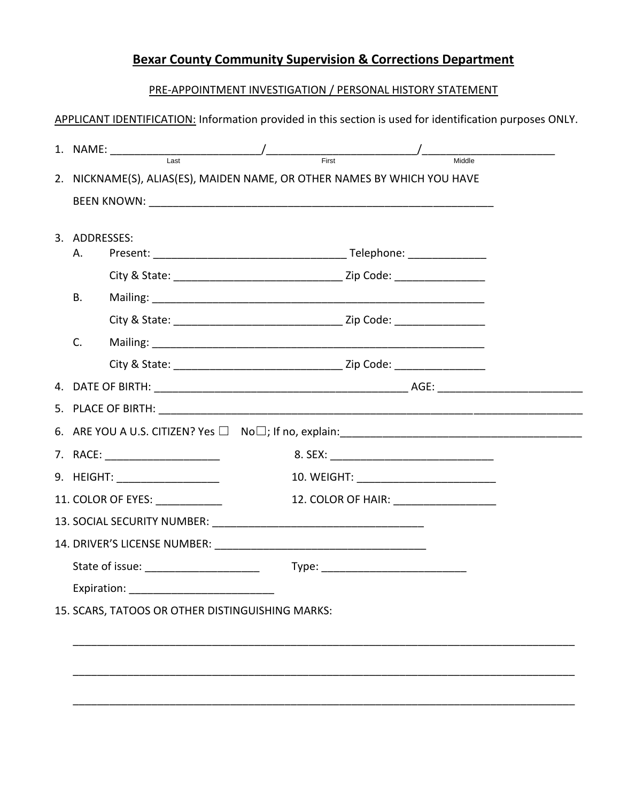# **Bexar County Community Supervision & Corrections Department**

#### PRE-APPOINTMENT INVESTIGATION / PERSONAL HISTORY STATEMENT

|                     |                                  | 2. NICKNAME(S), ALIAS(ES), MAIDEN NAME, OR OTHER NAMES BY WHICH YOU HAVE |  |
|---------------------|----------------------------------|--------------------------------------------------------------------------|--|
|                     |                                  |                                                                          |  |
|                     |                                  |                                                                          |  |
| 3. ADDRESSES:<br>А. |                                  |                                                                          |  |
|                     |                                  |                                                                          |  |
| <b>B.</b>           |                                  |                                                                          |  |
|                     |                                  |                                                                          |  |
| C.                  |                                  |                                                                          |  |
|                     |                                  |                                                                          |  |
|                     |                                  |                                                                          |  |
|                     |                                  |                                                                          |  |
|                     |                                  |                                                                          |  |
|                     | 7. RACE: _______________________ |                                                                          |  |
|                     | 9. HEIGHT: ___________________   |                                                                          |  |
|                     | 11. COLOR OF EYES: ___________   | 12. COLOR OF HAIR: __________________                                    |  |
|                     |                                  |                                                                          |  |
|                     |                                  |                                                                          |  |
|                     |                                  |                                                                          |  |
|                     |                                  |                                                                          |  |

\_\_\_\_\_\_\_\_\_\_\_\_\_\_\_\_\_\_\_\_\_\_\_\_\_\_\_\_\_\_\_\_\_\_\_\_\_\_\_\_\_\_\_\_\_\_\_\_\_\_\_\_\_\_\_\_\_\_\_\_\_\_\_\_\_\_\_\_\_\_\_\_\_\_\_\_\_\_\_\_\_\_\_

\_\_\_\_\_\_\_\_\_\_\_\_\_\_\_\_\_\_\_\_\_\_\_\_\_\_\_\_\_\_\_\_\_\_\_\_\_\_\_\_\_\_\_\_\_\_\_\_\_\_\_\_\_\_\_\_\_\_\_\_\_\_\_\_\_\_\_\_\_\_\_\_\_\_\_\_\_\_\_\_\_\_\_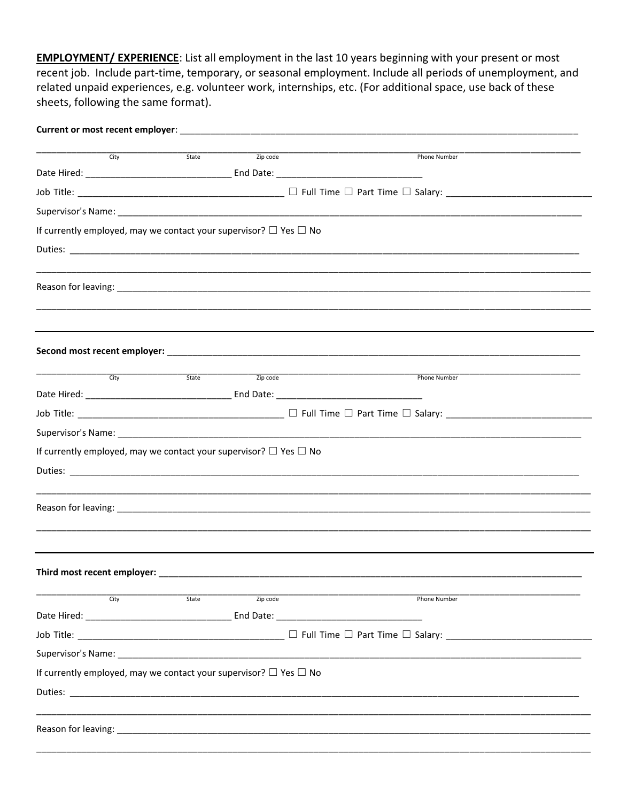**EMPLOYMENT/ EXPERIENCE:** List all employment in the last 10 years beginning with your present or most recent job. Include part-time, temporary, or seasonal employment. Include all periods of unemployment, and related unpaid experiences, e.g. volunteer work, internships, etc. (For additional space, use back of these sheets, following the same format).

| $\overline{C}$ itv                                                          | $\overline{\text{State}}$ | Zip code              | Phone Number        |
|-----------------------------------------------------------------------------|---------------------------|-----------------------|---------------------|
|                                                                             |                           |                       |                     |
|                                                                             |                           |                       |                     |
|                                                                             |                           |                       |                     |
| If currently employed, may we contact your supervisor? $\Box$ Yes $\Box$ No |                           |                       |                     |
|                                                                             |                           |                       |                     |
|                                                                             |                           |                       |                     |
|                                                                             |                           |                       |                     |
|                                                                             |                           |                       |                     |
|                                                                             |                           |                       |                     |
|                                                                             |                           |                       |                     |
|                                                                             |                           |                       |                     |
| $\overline{\text{City}}$                                                    |                           | State <b>Zip code</b> | Phone Number        |
|                                                                             |                           |                       |                     |
|                                                                             |                           |                       |                     |
|                                                                             |                           |                       |                     |
| If currently employed, may we contact your supervisor? $\Box$ Yes $\Box$ No |                           |                       |                     |
|                                                                             |                           |                       |                     |
|                                                                             |                           |                       |                     |
|                                                                             |                           |                       |                     |
|                                                                             |                           |                       |                     |
|                                                                             |                           |                       |                     |
|                                                                             |                           |                       |                     |
| City                                                                        | State                     | Zip code              | <b>Phone Number</b> |
|                                                                             |                           |                       |                     |
|                                                                             |                           |                       |                     |
|                                                                             |                           |                       |                     |
| If currently employed, may we contact your supervisor? $\Box$ Yes $\Box$ No |                           |                       |                     |
|                                                                             |                           |                       |                     |
|                                                                             |                           |                       |                     |
|                                                                             |                           |                       |                     |
|                                                                             |                           |                       |                     |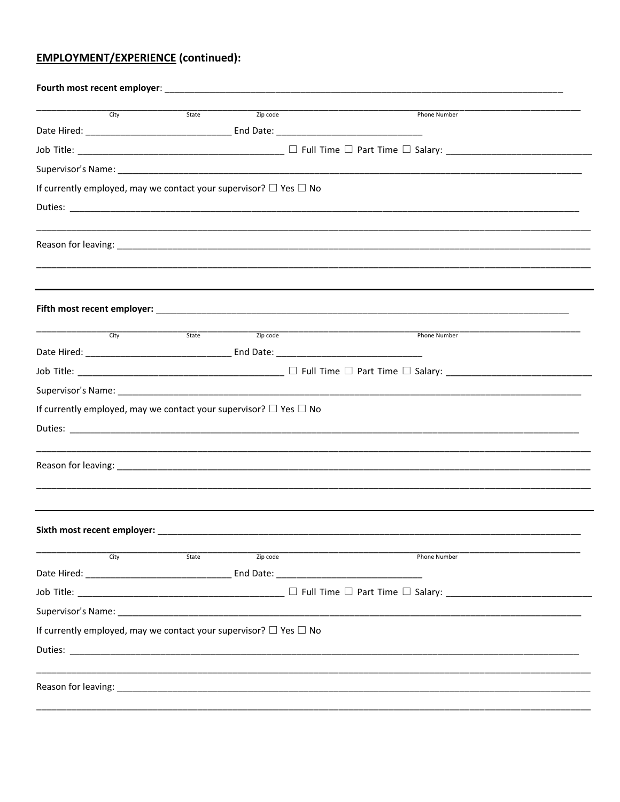# **EMPLOYMENT/EXPERIENCE (continued):**

| City                                                                        | State | Zip code              | Phone Number                                                                                                                                                                                                                   |
|-----------------------------------------------------------------------------|-------|-----------------------|--------------------------------------------------------------------------------------------------------------------------------------------------------------------------------------------------------------------------------|
|                                                                             |       |                       |                                                                                                                                                                                                                                |
|                                                                             |       |                       |                                                                                                                                                                                                                                |
|                                                                             |       |                       |                                                                                                                                                                                                                                |
| If currently employed, may we contact your supervisor? $\Box$ Yes $\Box$ No |       |                       |                                                                                                                                                                                                                                |
|                                                                             |       |                       |                                                                                                                                                                                                                                |
|                                                                             |       |                       |                                                                                                                                                                                                                                |
|                                                                             |       |                       |                                                                                                                                                                                                                                |
|                                                                             |       |                       |                                                                                                                                                                                                                                |
|                                                                             |       |                       |                                                                                                                                                                                                                                |
|                                                                             |       |                       |                                                                                                                                                                                                                                |
|                                                                             |       |                       |                                                                                                                                                                                                                                |
| $\overline{\text{City}}$                                                    |       | State <b>Zip code</b> | Phone Number                                                                                                                                                                                                                   |
|                                                                             |       |                       |                                                                                                                                                                                                                                |
|                                                                             |       |                       |                                                                                                                                                                                                                                |
|                                                                             |       |                       |                                                                                                                                                                                                                                |
| If currently employed, may we contact your supervisor? $\Box$ Yes $\Box$ No |       |                       |                                                                                                                                                                                                                                |
|                                                                             |       |                       |                                                                                                                                                                                                                                |
|                                                                             |       |                       |                                                                                                                                                                                                                                |
|                                                                             |       |                       | Reason for leaving: 1990 and 2000 and 2000 and 2000 and 2000 and 2000 and 2000 and 2000 and 2000 and 2000 and 2000 and 2000 and 2000 and 2000 and 2000 and 2000 and 2000 and 2000 and 2000 and 2000 and 2000 and 2000 and 2000 |
|                                                                             |       |                       |                                                                                                                                                                                                                                |
|                                                                             |       |                       |                                                                                                                                                                                                                                |
|                                                                             |       |                       |                                                                                                                                                                                                                                |
| City                                                                        | State | Zip code              | <b>Phone Number</b>                                                                                                                                                                                                            |
|                                                                             |       |                       |                                                                                                                                                                                                                                |
|                                                                             |       |                       |                                                                                                                                                                                                                                |
|                                                                             |       |                       |                                                                                                                                                                                                                                |
| If currently employed, may we contact your supervisor? $\Box$ Yes $\Box$ No |       |                       |                                                                                                                                                                                                                                |
|                                                                             |       |                       |                                                                                                                                                                                                                                |
|                                                                             |       |                       |                                                                                                                                                                                                                                |
|                                                                             |       |                       |                                                                                                                                                                                                                                |
|                                                                             |       |                       |                                                                                                                                                                                                                                |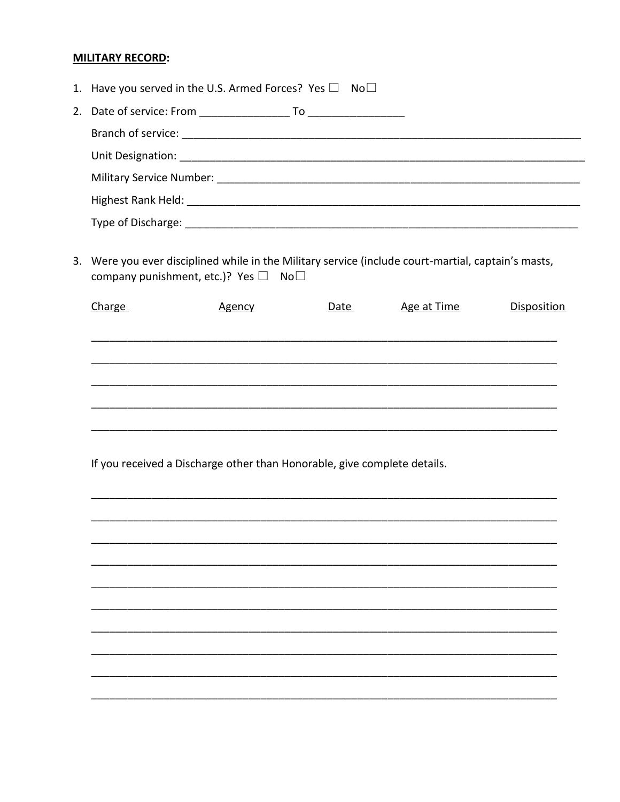#### **MILITARY RECORD:**

| 1. Have you served in the U.S. Armed Forces? Yes $\square$ No $\square$                                                                                |        |      |             |                                                                          |  |  |
|--------------------------------------------------------------------------------------------------------------------------------------------------------|--------|------|-------------|--------------------------------------------------------------------------|--|--|
|                                                                                                                                                        |        |      |             |                                                                          |  |  |
|                                                                                                                                                        |        |      |             |                                                                          |  |  |
|                                                                                                                                                        |        |      |             |                                                                          |  |  |
|                                                                                                                                                        |        |      |             |                                                                          |  |  |
|                                                                                                                                                        |        |      |             |                                                                          |  |  |
|                                                                                                                                                        |        |      |             |                                                                          |  |  |
| 3. Were you ever disciplined while in the Military service (include court-martial, captain's masts,<br>company punishment, etc.)? Yes $\Box$ No $\Box$ |        |      |             |                                                                          |  |  |
| Charge                                                                                                                                                 | Agency | Date | Age at Time | <b>Disposition</b>                                                       |  |  |
|                                                                                                                                                        |        |      |             |                                                                          |  |  |
|                                                                                                                                                        |        |      |             |                                                                          |  |  |
|                                                                                                                                                        |        |      |             |                                                                          |  |  |
|                                                                                                                                                        |        |      |             |                                                                          |  |  |
|                                                                                                                                                        |        |      |             |                                                                          |  |  |
|                                                                                                                                                        |        |      |             |                                                                          |  |  |
|                                                                                                                                                        |        |      |             |                                                                          |  |  |
|                                                                                                                                                        |        |      |             |                                                                          |  |  |
|                                                                                                                                                        |        |      |             |                                                                          |  |  |
|                                                                                                                                                        |        |      |             |                                                                          |  |  |
|                                                                                                                                                        |        |      |             |                                                                          |  |  |
|                                                                                                                                                        |        |      |             |                                                                          |  |  |
|                                                                                                                                                        |        |      |             |                                                                          |  |  |
|                                                                                                                                                        |        |      |             |                                                                          |  |  |
|                                                                                                                                                        |        |      |             |                                                                          |  |  |
|                                                                                                                                                        |        |      |             |                                                                          |  |  |
|                                                                                                                                                        |        |      |             |                                                                          |  |  |
|                                                                                                                                                        |        |      |             | If you received a Discharge other than Honorable, give complete details. |  |  |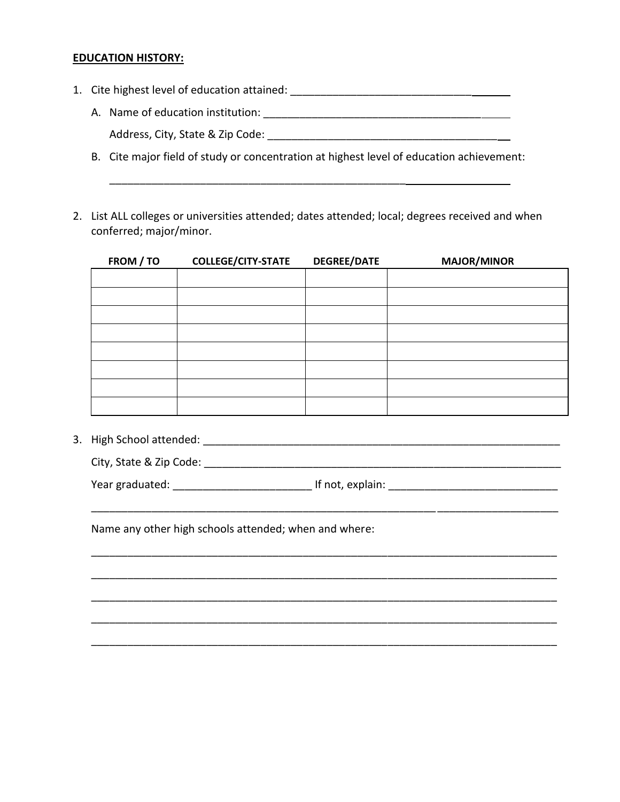#### **EDUCATION HISTORY:**

1. Cite highest level of education attained: \_\_\_\_\_\_\_\_\_\_\_\_\_\_\_\_\_\_\_\_\_\_\_\_\_\_\_\_\_\_\_\_\_\_\_

\_\_\_\_\_\_\_\_\_\_\_\_\_\_\_\_\_\_\_\_\_\_\_\_\_\_\_\_\_\_\_\_\_\_\_\_\_\_\_\_\_\_\_\_\_\_\_\_\_

- A. Name of education institution: <br>
and the same of education institution: Address, City, State & Zip Code:
- B. Cite major field of study or concentration at highest level of education achievement:
- 2. List ALL colleges or universities attended; dates attended; local; degrees received and when conferred; major/minor.

| FROM / TO | <b>COLLEGE/CITY-STATE</b> | <b>DEGREE/DATE</b> | <b>MAJOR/MINOR</b> |
|-----------|---------------------------|--------------------|--------------------|
|           |                           |                    |                    |
|           |                           |                    |                    |
|           |                           |                    |                    |
|           |                           |                    |                    |
|           |                           |                    |                    |
|           |                           |                    |                    |
|           |                           |                    |                    |
|           |                           |                    |                    |

\_\_\_\_\_\_\_\_\_\_\_\_\_\_\_\_\_\_\_\_\_\_\_\_\_\_\_\_\_\_\_\_\_\_\_\_\_\_\_\_\_\_\_\_\_\_\_\_\_\_\_\_\_\_\_\_\_ \_\_\_\_\_\_\_\_\_\_\_\_\_\_\_\_\_\_\_\_

\_\_\_\_\_\_\_\_\_\_\_\_\_\_\_\_\_\_\_\_\_\_\_\_\_\_\_\_\_\_\_\_\_\_\_\_\_\_\_\_\_\_\_\_\_\_\_\_\_\_\_\_\_\_\_\_\_\_\_\_\_\_\_\_\_\_\_\_\_\_\_\_\_\_\_\_\_

\_\_\_\_\_\_\_\_\_\_\_\_\_\_\_\_\_\_\_\_\_\_\_\_\_\_\_\_\_\_\_\_\_\_\_\_\_\_\_\_\_\_\_\_\_\_\_\_\_\_\_\_\_\_\_\_\_\_\_\_\_\_\_\_\_\_\_\_\_\_\_\_\_\_\_\_\_

\_\_\_\_\_\_\_\_\_\_\_\_\_\_\_\_\_\_\_\_\_\_\_\_\_\_\_\_\_\_\_\_\_\_\_\_\_\_\_\_\_\_\_\_\_\_\_\_\_\_\_\_\_\_\_\_\_\_\_\_\_\_\_\_\_\_\_\_\_\_\_\_\_\_\_\_\_

\_\_\_\_\_\_\_\_\_\_\_\_\_\_\_\_\_\_\_\_\_\_\_\_\_\_\_\_\_\_\_\_\_\_\_\_\_\_\_\_\_\_\_\_\_\_\_\_\_\_\_\_\_\_\_\_\_\_\_\_\_\_\_\_\_\_\_\_\_\_\_\_\_\_\_\_\_

\_\_\_\_\_\_\_\_\_\_\_\_\_\_\_\_\_\_\_\_\_\_\_\_\_\_\_\_\_\_\_\_\_\_\_\_\_\_\_\_\_\_\_\_\_\_\_\_\_\_\_\_\_\_\_\_\_\_\_\_\_\_\_\_\_\_\_\_\_\_\_\_\_\_\_\_\_

3. High School attended:  $\Box$ 

City, State & Zip Code: \_\_\_\_\_\_\_\_\_\_\_\_\_\_\_\_\_\_\_\_\_\_\_\_\_\_\_\_\_\_\_\_\_\_\_\_\_\_\_\_\_\_\_\_\_\_\_\_\_\_\_\_\_\_\_\_\_\_\_

Year graduated: explain: The state of the state of the state of the state of the state of the state of the state of the state of the state of the state of the state of the state of the state of the state of the state of th

Name any other high schools attended; when and where: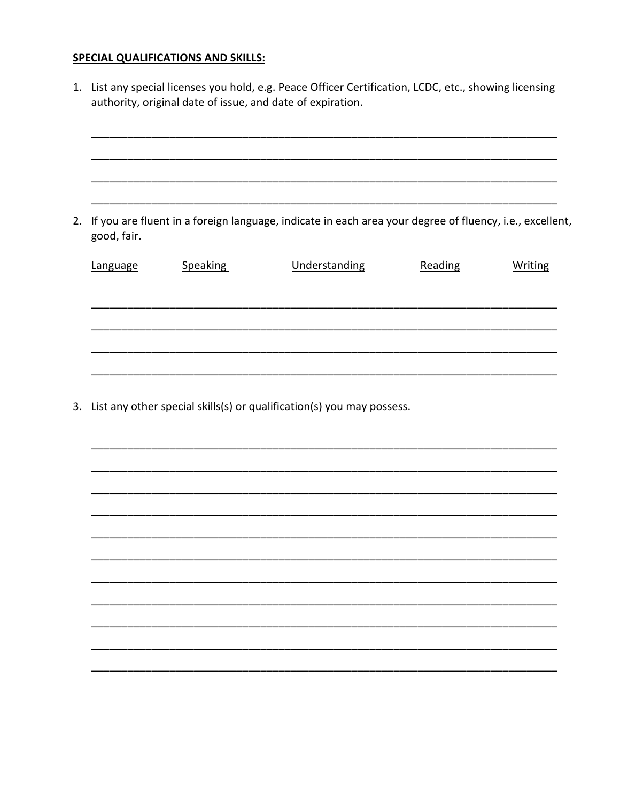#### **SPECIAL QUALIFICATIONS AND SKILLS:**

- 1. List any special licenses you hold, e.g. Peace Officer Certification, LCDC, etc., showing licensing authority, original date of issue, and date of expiration. 2. If you are fluent in a foreign language, indicate in each area your degree of fluency, i.e., excellent, good, fair. **Speaking** Language Understanding Reading **Writing**
- 3. List any other special skills(s) or qualification(s) you may possess.

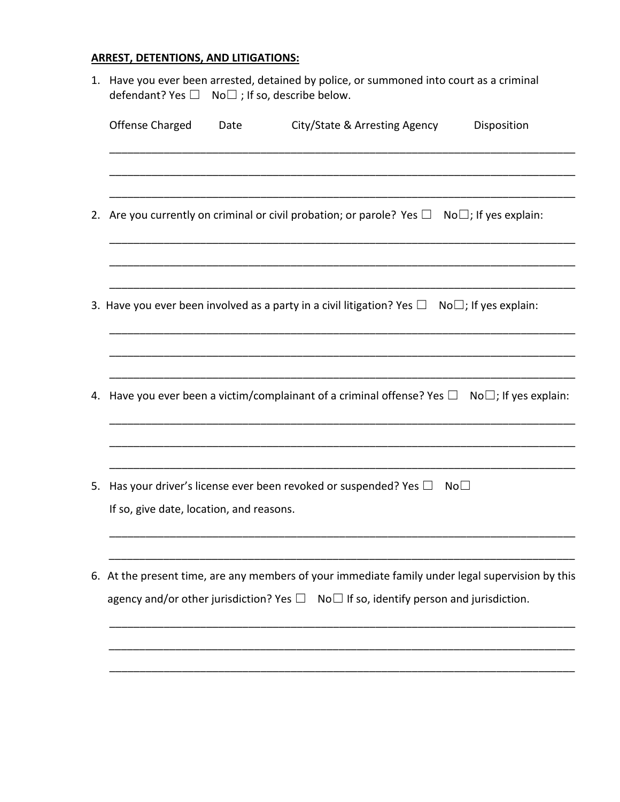### **ARREST, DETENTIONS, AND LITIGATIONS:**

|    | 1. Have you ever been arrested, detained by police, or summoned into court as a criminal<br>$No \square$ ; If so, describe below.<br>defendant? Yes □                                                  |  |  |  |  |  |
|----|--------------------------------------------------------------------------------------------------------------------------------------------------------------------------------------------------------|--|--|--|--|--|
|    | <b>Offense Charged</b><br>City/State & Arresting Agency<br>Date<br>Disposition                                                                                                                         |  |  |  |  |  |
|    |                                                                                                                                                                                                        |  |  |  |  |  |
| 2. | Are you currently on criminal or civil probation; or parole? Yes $\Box$ No $\Box$ ; If yes explain:                                                                                                    |  |  |  |  |  |
|    | 3. Have you ever been involved as a party in a civil litigation? Yes $\Box$ No $\Box$ ; If yes explain:                                                                                                |  |  |  |  |  |
|    |                                                                                                                                                                                                        |  |  |  |  |  |
| 4. | Have you ever been a victim/complainant of a criminal offense? Yes $\Box$ No $\Box$ ; If yes explain:                                                                                                  |  |  |  |  |  |
| 5. | Has your driver's license ever been revoked or suspended? Yes $\Box$<br>No <sub>1</sub>                                                                                                                |  |  |  |  |  |
|    | If so, give date, location, and reasons.                                                                                                                                                               |  |  |  |  |  |
| 6. | At the present time, are any members of your immediate family under legal supervision by this<br>agency and/or other jurisdiction? Yes $\square$ No $\square$ If so, identify person and jurisdiction. |  |  |  |  |  |
|    |                                                                                                                                                                                                        |  |  |  |  |  |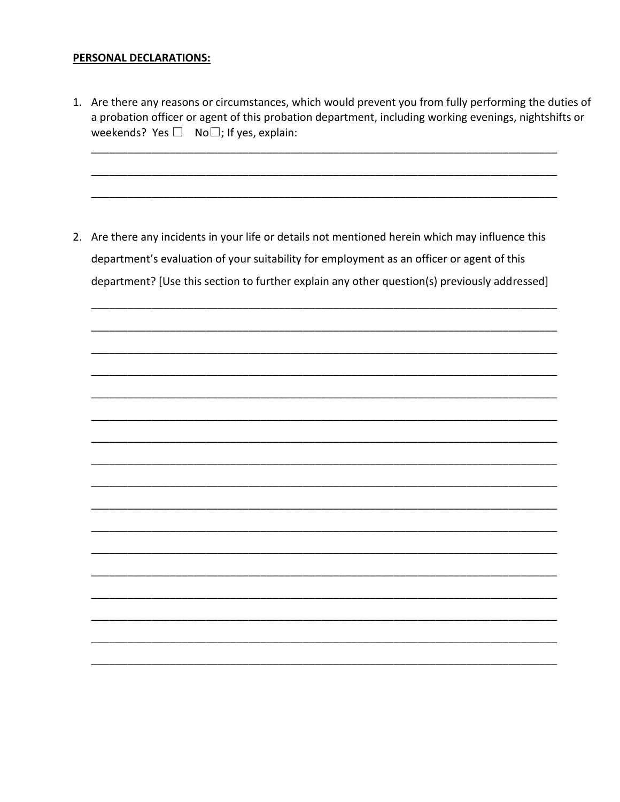#### PERSONAL DECLARATIONS:

1. Are there any reasons or circumstances, which would prevent you from fully performing the duties of a probation officer or agent of this probation department, including working evenings, nightshifts or weekends? Yes  $\square$  No $\square$ ; If yes, explain:

2. Are there any incidents in your life or details not mentioned herein which may influence this department's evaluation of your suitability for employment as an officer or agent of this department? [Use this section to further explain any other question(s) previously addressed]

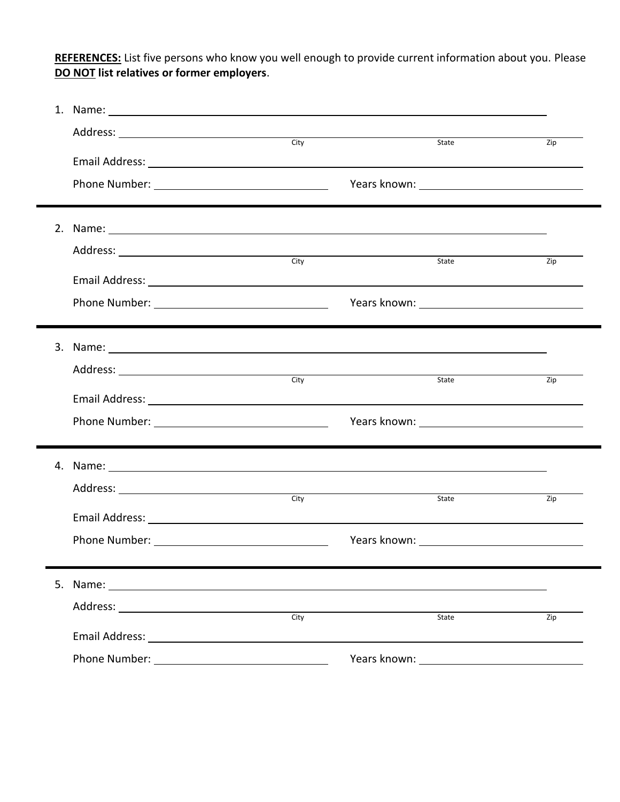**REFERENCES:** List five persons who know you well enough to provide current information about you. Please **DO NOT list relatives or former employers**.

|    | 1. Name: 1. 2008. 2009. 2010. 2010. 2010. 2010. 2010. 2011. 2012. 2014. 2016. 2017. 2018. 2019. 2010. 2011. 20                                                                                                                 |      |                                                                                                                                                                                                                                |     |
|----|--------------------------------------------------------------------------------------------------------------------------------------------------------------------------------------------------------------------------------|------|--------------------------------------------------------------------------------------------------------------------------------------------------------------------------------------------------------------------------------|-----|
|    | Address: <u>City</u>                                                                                                                                                                                                           |      |                                                                                                                                                                                                                                |     |
|    |                                                                                                                                                                                                                                |      | State                                                                                                                                                                                                                          | Zip |
|    |                                                                                                                                                                                                                                |      |                                                                                                                                                                                                                                |     |
|    |                                                                                                                                                                                                                                |      |                                                                                                                                                                                                                                |     |
|    |                                                                                                                                                                                                                                |      |                                                                                                                                                                                                                                |     |
|    |                                                                                                                                                                                                                                |      |                                                                                                                                                                                                                                |     |
|    |                                                                                                                                                                                                                                |      | State                                                                                                                                                                                                                          | Zip |
|    |                                                                                                                                                                                                                                |      |                                                                                                                                                                                                                                |     |
|    |                                                                                                                                                                                                                                |      |                                                                                                                                                                                                                                |     |
|    |                                                                                                                                                                                                                                |      |                                                                                                                                                                                                                                |     |
| 3. | Name: Name:                                                                                                                                                                                                                    |      |                                                                                                                                                                                                                                |     |
|    |                                                                                                                                                                                                                                |      |                                                                                                                                                                                                                                |     |
|    | Address: City                                                                                                                                                                                                                  |      | State                                                                                                                                                                                                                          | Zip |
|    |                                                                                                                                                                                                                                |      |                                                                                                                                                                                                                                |     |
|    |                                                                                                                                                                                                                                |      |                                                                                                                                                                                                                                |     |
|    |                                                                                                                                                                                                                                |      |                                                                                                                                                                                                                                |     |
|    | 4. Name: 1. 1999. The contract of the contract of the contract of the contract of the contract of the contract of the contract of the contract of the contract of the contract of the contract of the contract of the contract |      |                                                                                                                                                                                                                                |     |
|    | Address: City                                                                                                                                                                                                                  |      | <b>State</b>                                                                                                                                                                                                                   | Zip |
|    |                                                                                                                                                                                                                                |      |                                                                                                                                                                                                                                |     |
|    |                                                                                                                                                                                                                                |      |                                                                                                                                                                                                                                |     |
|    |                                                                                                                                                                                                                                |      |                                                                                                                                                                                                                                |     |
| 5. |                                                                                                                                                                                                                                |      |                                                                                                                                                                                                                                |     |
|    | Address: Analysis and the set of the set of the set of the set of the set of the set of the set of the set of the set of the set of the set of the set of the set of the set of the set of the set of the set of the set of th | City | State                                                                                                                                                                                                                          | Zip |
|    |                                                                                                                                                                                                                                |      |                                                                                                                                                                                                                                |     |
|    |                                                                                                                                                                                                                                |      | Years known: The control of the control of the control of the control of the control of the control of the control of the control of the control of the control of the control of the control of the control of the control of |     |

 $\overline{\phantom{a}}$